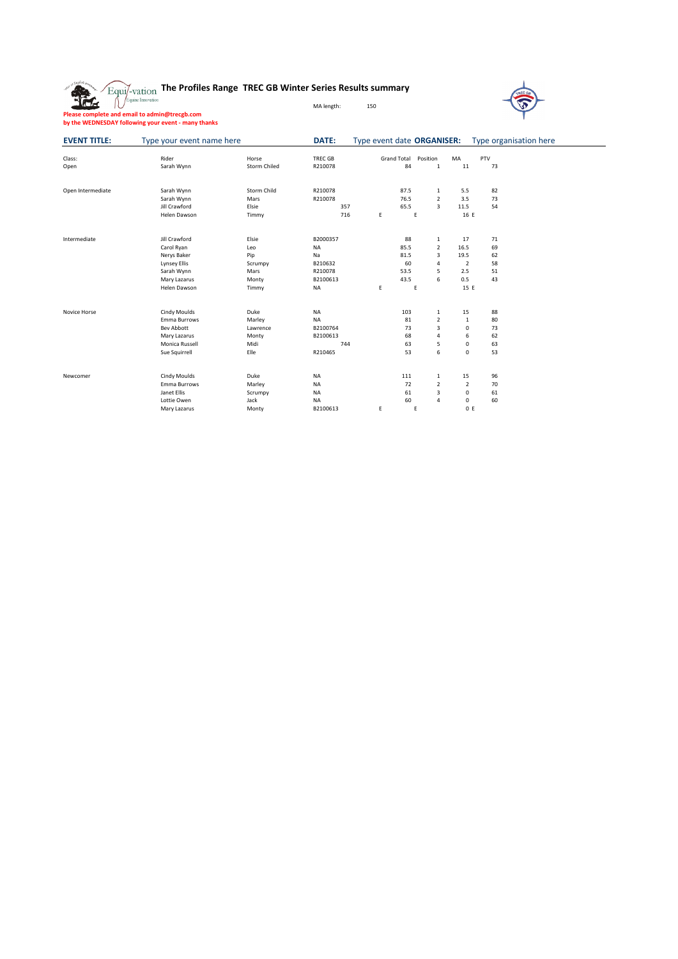|  |  |  | $\sqrt{\mathrm{E}_{\mathrm{qui}}}/$ $_{\mathrm{vation}}$ The Profiles Range TREC GB Winter Series Results summary |
|--|--|--|-------------------------------------------------------------------------------------------------------------------|
|--|--|--|-------------------------------------------------------------------------------------------------------------------|



|  |  | Please complete and email to admin@trecgb.com       |  |
|--|--|-----------------------------------------------------|--|
|  |  | by the WEDNESDAY following your event - many thanks |  |

## MA length: 150

| <b>EVENT TITLE:</b> | Type your event name here |                     | DATE:          | Type event date ORGANISER: |             |                         |                | Type organisation here |  |
|---------------------|---------------------------|---------------------|----------------|----------------------------|-------------|-------------------------|----------------|------------------------|--|
| Class:              | Rider                     | Horse               | <b>TREC GB</b> |                            | Grand Total | Position                | MA             | PTV                    |  |
| Open                | Sarah Wynn                | <b>Storm Chiled</b> | R210078        |                            | 84          | $\mathbf{1}$            | 11             | 73                     |  |
| Open Intermediate   | Sarah Wynn                | Storm Child         | R210078        |                            | 87.5        | 1                       | 5.5            | 82                     |  |
|                     | Sarah Wynn                | Mars                | R210078        |                            | 76.5        | $\overline{2}$          | 3.5            | 73                     |  |
|                     | Jill Crawford             | Elsie               | 357            |                            | 65.5        | 3                       | 11.5           | 54                     |  |
|                     | Helen Dawson              | Timmy               | 716            | E                          | Ε           |                         | 16 E           |                        |  |
|                     |                           |                     |                |                            |             |                         |                |                        |  |
| Intermediate        | Jill Crawford             | Elsie               | B2000357       |                            | 88          | $\mathbf{1}$            | 17             | 71                     |  |
|                     | Carol Ryan                | Leo                 | <b>NA</b>      |                            | 85.5        | $\overline{2}$          | 16.5           | 69                     |  |
|                     | Nerys Baker               | Pip                 | Na             |                            | 81.5        | 3                       | 19.5           | 62                     |  |
|                     | <b>Lynsey Ellis</b>       | Scrumpy             | B210632        |                            | 60          | 4                       | $\overline{2}$ | 58                     |  |
|                     | Sarah Wynn                | Mars                | R210078        |                            | 53.5        | 5                       | 2.5            | 51                     |  |
|                     | Mary Lazarus              | Monty               | B2100613       |                            | 43.5        | 6                       | 0.5            | 43                     |  |
|                     | Helen Dawson              | Timmy               | <b>NA</b>      | E.                         | E           |                         | 15 E           |                        |  |
| Novice Horse        | Cindy Moulds              | Duke                | <b>NA</b>      |                            | 103         | $\mathbf{1}$            | 15             | 88                     |  |
|                     | Emma Burrows              | Marley              | <b>NA</b>      |                            | 81          | $\overline{2}$          | $\mathbf 1$    | 80                     |  |
|                     | <b>Bev Abbott</b>         | Lawrence            | B2100764       |                            | 73          | $\overline{\mathbf{3}}$ | $\mathsf 0$    | 73                     |  |
|                     | Mary Lazarus              | Monty               | B2100613       |                            | 68          | $\sqrt{4}$              | 6              | 62                     |  |
|                     | Monica Russell            | Midi                | 744            |                            | 63          | 5                       | 0              | 63                     |  |
|                     | Sue Squirrell             | Elle                | R210465        |                            | 53          | 6                       | $\mathbf 0$    | 53                     |  |
|                     |                           |                     |                |                            |             |                         |                |                        |  |
| Newcomer            | Cindy Moulds              | Duke                | <b>NA</b>      |                            | 111         | $\mathbf{1}$            | 15             | 96                     |  |
|                     | Emma Burrows              | Marley              | <b>NA</b>      |                            | 72          | $\overline{2}$          | $\overline{2}$ | 70                     |  |
|                     | Janet Ellis               | Scrumpy             | <b>NA</b>      |                            | 61          | 3                       | 0              | 61                     |  |
|                     | Lottie Owen               | Jack                | <b>NA</b>      |                            | 60          | $\overline{4}$          | 0              | 60                     |  |
|                     | Mary Lazarus              | Monty               | B2100613       | E                          | E           |                         | 0 E            |                        |  |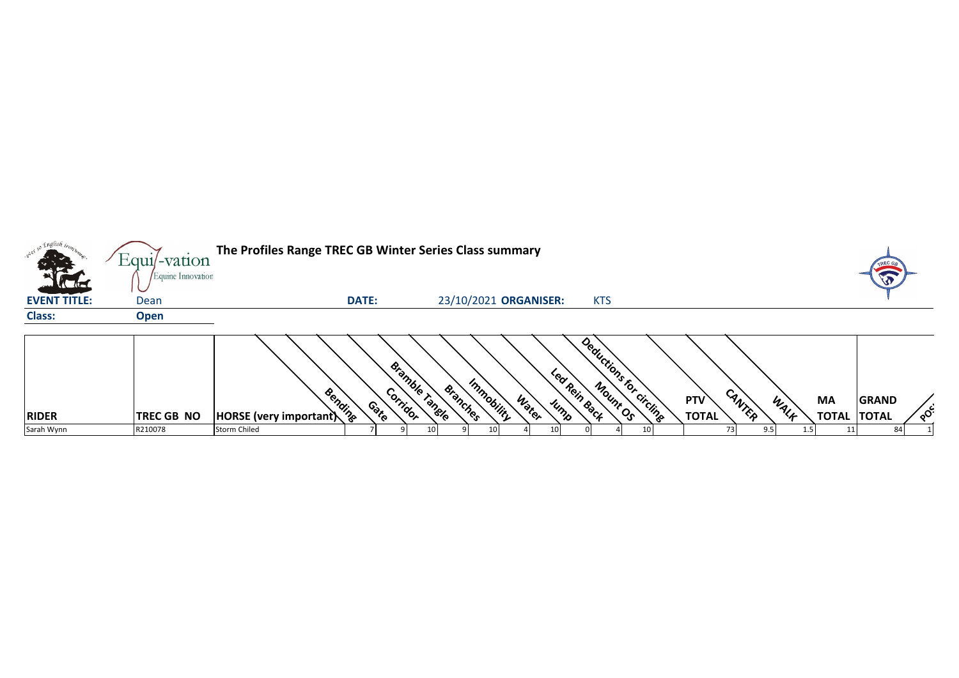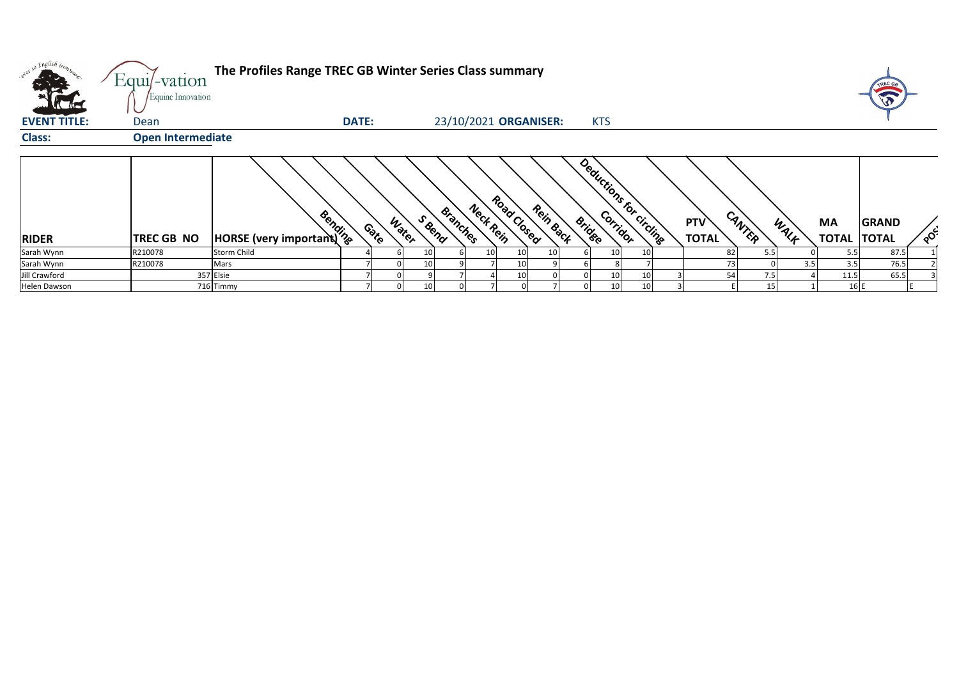|                                     | Equi/-vation<br>Equine Innovation | The Profiles Range TREC GB Winter Series Class summary |                 |                 |          |           |             |                       |               |                 |                         |                     |        |      |                          | TREC GB      |            |
|-------------------------------------|-----------------------------------|--------------------------------------------------------|-----------------|-----------------|----------|-----------|-------------|-----------------------|---------------|-----------------|-------------------------|---------------------|--------|------|--------------------------|--------------|------------|
| <b>ACTES</b><br><b>EVENT TITLE:</b> | Dean                              |                                                        | <b>DATE:</b>    |                 |          |           |             | 23/10/2021 ORGANISER: |               | <b>KTS</b>      |                         |                     |        |      |                          |              |            |
| <b>Class:</b>                       | <b>Open Intermediate</b>          |                                                        |                 |                 |          |           |             |                       |               |                 |                         |                     |        |      |                          |              |            |
| <b>RIDER</b>                        | <b>TREC GB NO</b>                 | <b>EVALUATION</b><br>HORSE (very important)            | Water<br>Contro | S Bend          | Branches | Nect Rein | Road Closed | Rein Back             | <b>Bridge</b> |                 | Deductions for circuits | PTV<br><b>TOTAL</b> | CANTER | WALK | MA<br><b>TOTAL TOTAL</b> | <b>GRAND</b> | <b>OCC</b> |
| Sarah Wynn                          | R210078                           | <b>Storm Child</b>                                     |                 |                 |          | 10        | 10          | 10                    |               | 10 <sub>1</sub> | 10                      | 82                  | 5.5    |      | 5.5                      | 87.5         |            |
| Sarah Wynn                          | R210078                           | Mars                                                   |                 | 10 <sub>1</sub> |          |           | 10          |                       |               |                 |                         | 73                  |        | 3.5  | 3.5                      | 76.5         |            |
| Jill Crawford                       |                                   | 357 Elsie                                              |                 |                 |          |           | 10          |                       |               | 10              | 10                      | 54                  | 7.5    |      | 11.5                     | 65.5         |            |
| Helen Dawson                        |                                   | 716 Timmy                                              |                 | 10              |          |           |             |                       |               | 10 <sub>1</sub> | 10                      |                     | 15     |      | 16 E                     |              |            |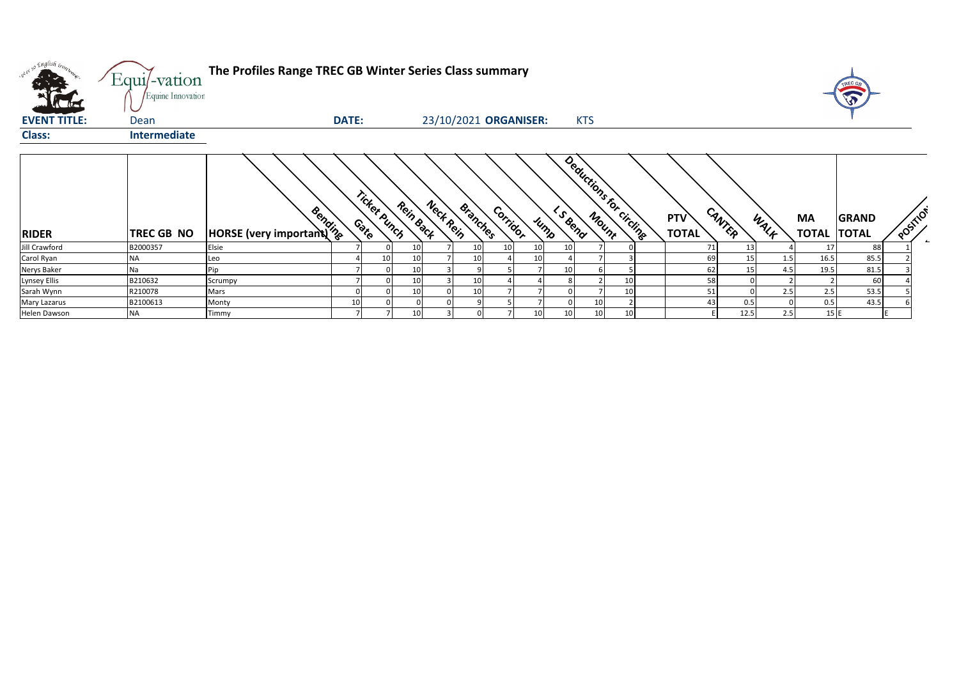| over so English bon- | Equi/-vation<br>Equine Innovation | The Profiles Range TREC GB Winter Series Class summary |              |              |           |                              |          |                       |         |                         |    |                            |                |      |      |                                 | TREC G       |                                      |
|----------------------|-----------------------------------|--------------------------------------------------------|--------------|--------------|-----------|------------------------------|----------|-----------------------|---------|-------------------------|----|----------------------------|----------------|------|------|---------------------------------|--------------|--------------------------------------|
| <b>EVENT TITLE:</b>  | Dean                              |                                                        | <b>DATE:</b> |              |           |                              |          | 23/10/2021 ORGANISER: |         | <b>KTS</b>              |    |                            |                |      |      |                                 |              |                                      |
| <b>Class:</b>        | <b>Intermediate</b>               |                                                        |              |              |           |                              |          |                       |         |                         |    |                            |                |      |      |                                 |              |                                      |
| <b>RIDER</b>         | <b>TREC GB NO</b>                 | <b>HORSE</b> (very important)                          |              | Ticket Punch | Rein Back | Neck Rein<br><b>Branches</b> | Corridor | Jump                  | L Seena | Deductions for circling |    | <b>PTV</b><br><b>TOTAL</b> | CANTER         |      | WALF | <b>MA</b><br><b>TOTAL TOTAL</b> | <b>GRAND</b> | POSITION<br>$\overline{\phantom{a}}$ |
| Jill Crawford        | B2000357                          | Elsie                                                  |              |              |           |                              |          |                       |         |                         |    |                            | 71             | 13   |      | 17                              | 88           |                                      |
| Carol Ryan           | ΝA                                | Leo                                                    |              | 10           |           |                              |          |                       |         |                         |    |                            | 69             | 15   | 1.5  | 16.5                            | 85.5         |                                      |
| Nerys Baker          | Na                                | Pin                                                    |              |              |           |                              |          |                       |         |                         |    |                            | 62             | 15   | 4.5  | 19.5                            | 81.5         |                                      |
| Lynsey Ellis         | B210632                           | Scrumpy                                                |              |              | 10        | 10                           |          |                       |         |                         | 10 |                            | 58             |      |      |                                 | 60           |                                      |
| Sarah Wynn           | R210078                           | Mars                                                   |              |              | 10        | 10                           |          |                       |         |                         | 10 |                            | 51             |      | 2.5  | 2.5                             | 53.5         |                                      |
| Mary Lazarus         | B2100613                          | Monty                                                  | 10           |              |           |                              |          |                       |         | 10                      |    |                            | 4 <sup>5</sup> | 0.5  |      | 0.5                             | 43.5         |                                      |
| Helen Dawson         | ΝA                                | Timmy                                                  |              |              | 10        |                              |          |                       |         | 10                      | 10 |                            |                | 12.5 | 2.5  | 15 E                            |              |                                      |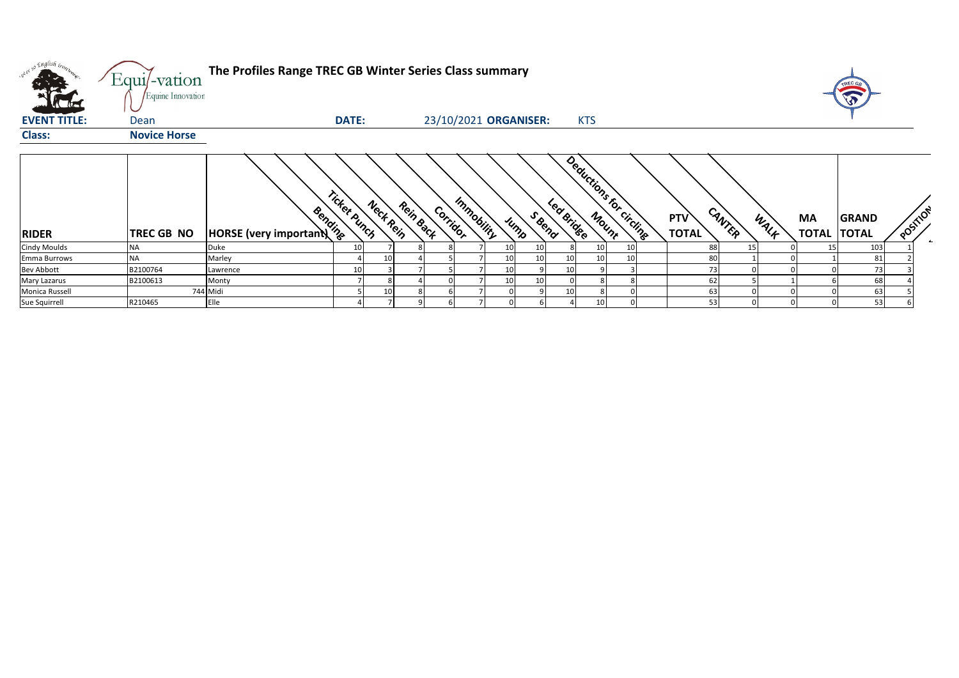| what so English trong | Equi/-vation<br>Equine Innovation | The Profiles Range TREC GB Winter Series Class summary |                 |                 |           |          |            |                       |        |            |            |                         |                            |        |      |                                 | TREC G <sub>6</sub><br>$\sqrt{3}$ |          |  |
|-----------------------|-----------------------------------|--------------------------------------------------------|-----------------|-----------------|-----------|----------|------------|-----------------------|--------|------------|------------|-------------------------|----------------------------|--------|------|---------------------------------|-----------------------------------|----------|--|
| <b>EVENT TITLE:</b>   | Dean                              |                                                        | <b>DATE:</b>    |                 |           |          |            | 23/10/2021 ORGANISER: |        |            | <b>KTS</b> |                         |                            |        |      |                                 |                                   |          |  |
| <b>Class:</b>         | <b>Novice Horse</b>               |                                                        |                 |                 |           |          |            |                       |        |            |            |                         |                            |        |      |                                 |                                   |          |  |
| <b>RIDER</b>          | <b>TREC GB NO</b>                 | Bending<br><b>HORSE</b> (very important)               | Ticket Punch    | Nect Rein       | Rein Back | Corridor | Immobility | Jump                  | S Bend | Led Bridge |            | Deductions for circuits | <b>PTV</b><br><b>TOTAL</b> | CANTER | WALK | <b>MA</b><br><b>TOTAL TOTAL</b> | <b>GRAND</b>                      | POSITION |  |
| <b>Cindy Moulds</b>   | <b>NA</b>                         | Duke                                                   | 10 <sup>1</sup> |                 |           |          |            | 10                    |        |            | 10         |                         | 88                         | 15     |      | 15                              | 103                               |          |  |
| Emma Burrows          | <b>NA</b>                         | Marley                                                 |                 | 10              |           |          |            | 10                    | 10     |            | 10         |                         | 80                         |        |      |                                 | 81                                |          |  |
| <b>Bev Abbott</b>     | B2100764                          | Lawrence                                               | 10 <sup>1</sup> |                 |           |          |            | 10                    |        | 10         |            |                         |                            |        |      |                                 | 73                                |          |  |
| Mary Lazarus          | B2100613                          | Monty                                                  |                 |                 |           |          |            | 10                    | 10     |            |            |                         | 62                         |        |      |                                 | 68                                |          |  |
| Monica Russell        |                                   | 744 Midi                                               |                 | 10 <sup>1</sup> |           |          |            |                       |        |            |            |                         | 63                         |        |      |                                 | 63                                |          |  |
| Sue Squirrell         | R210465                           | Elle                                                   |                 |                 |           |          |            |                       |        |            | 10         |                         | 53                         |        |      |                                 | 53                                |          |  |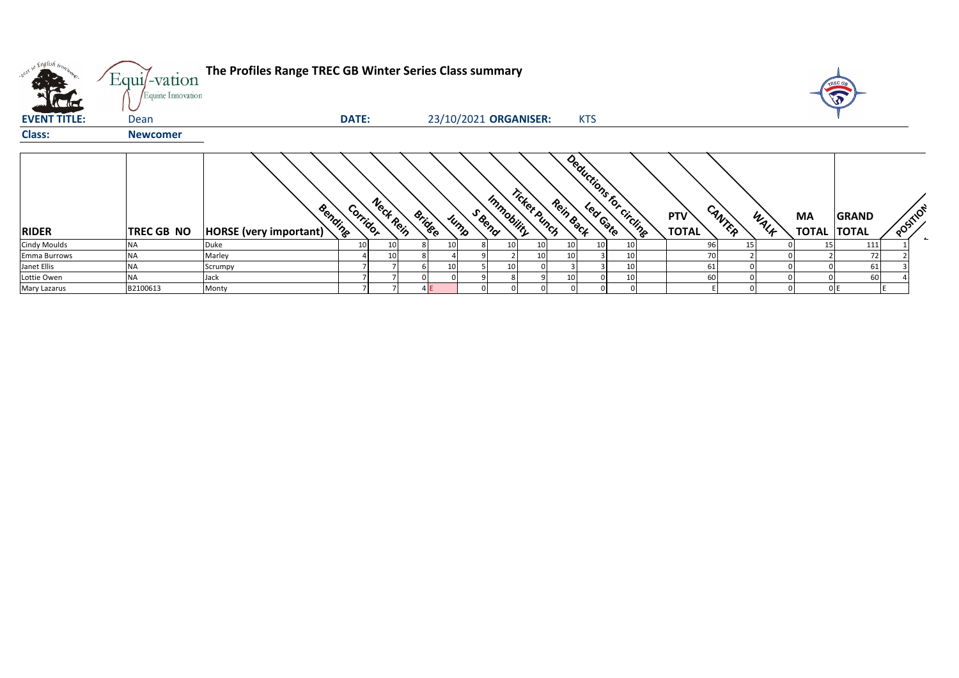|                     | Equi/-vation<br>Equine Innovation | The Profiles Range TREC GB Winter Series Class summary |              |           |               |                       |                            |           |                          |                                       |                                                   |
|---------------------|-----------------------------------|--------------------------------------------------------|--------------|-----------|---------------|-----------------------|----------------------------|-----------|--------------------------|---------------------------------------|---------------------------------------------------|
| <b>CALLED</b>       |                                   |                                                        | <b>DATE:</b> |           |               |                       |                            |           |                          |                                       |                                                   |
| <b>EVENT TITLE:</b> | Dean                              |                                                        |              |           |               | 23/10/2021 ORGANISER: |                            |           | <b>KTS</b>               |                                       |                                                   |
| <b>Class:</b>       | <b>Newcomer</b>                   |                                                        |              |           |               |                       |                            |           |                          |                                       |                                                   |
|                     |                                   |                                                        |              |           |               |                       |                            |           |                          |                                       |                                                   |
| <b>RIDER</b>        | <b>TREC GB NO</b>                 | Bendine<br><b>HORSE</b> (very important)               | Corridor     | Neck Rein | <b>Bridge</b> | S Beno<br>Jump        | Ticket Punch<br>Immobility | Rein Back | Deductions for circlines | CANTER<br>WALK<br>PTV<br><b>TOTAL</b> | <b>MA</b><br>GRAND<br>POSIT<br><b>TOTAL TOTAL</b> |
| <b>Cindy Moulds</b> | NA                                | Duke                                                   | 10           | 10        | 10            | 8                     | 10                         | 10        | 10 <sub>1</sub>          | 96                                    | 111<br>15                                         |
| <b>Emma Burrows</b> | ΝA                                | Marley                                                 |              | 10        |               |                       | 10                         |           | 10 <sub>1</sub>          | 70                                    | 72                                                |
| Janet Ellis         | NA                                | Scrumpy                                                |              |           | 10            |                       |                            |           | 10                       | 61                                    | 61                                                |
| Lottie Owen         | NA                                | Jack                                                   |              |           |               |                       |                            |           | 10                       | 60                                    | 60                                                |
| Mary Lazarus        | B2100613                          | Monty                                                  |              |           |               |                       |                            |           |                          |                                       |                                                   |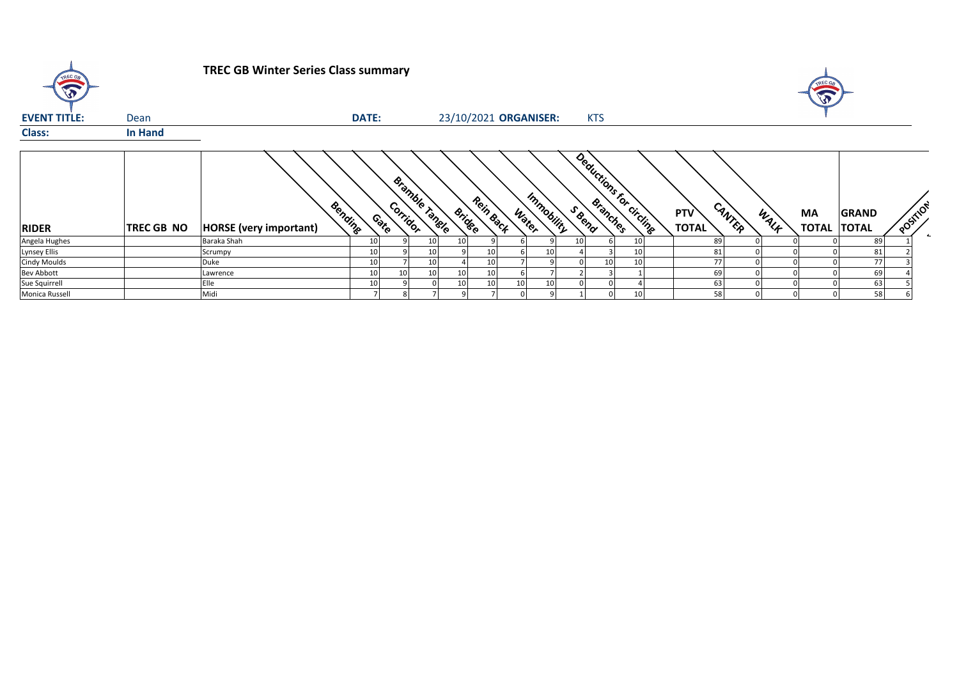| TREC GA             |                | <b>TREC GB Winter Series Class summary</b> |                    |                       |                       |           |       |            |        |            |                         |                            |        |      | $\sqrt{3}$                      |       |          |  |
|---------------------|----------------|--------------------------------------------|--------------------|-----------------------|-----------------------|-----------|-------|------------|--------|------------|-------------------------|----------------------------|--------|------|---------------------------------|-------|----------|--|
| <b>EVENT TITLE:</b> | Dean           |                                            | <b>DATE:</b>       |                       | 23/10/2021 ORGANISER: |           |       |            |        | <b>KTS</b> |                         |                            |        |      |                                 |       |          |  |
| <b>Class:</b>       | <b>In Hand</b> |                                            |                    |                       |                       |           |       |            |        |            |                         |                            |        |      |                                 |       |          |  |
| <b>RIDER</b>        | TREC GB NO     | Bending<br><b>HORSE</b> (very important)   | Corridor<br>Contro | <b>Bramble Tangle</b> | <b>Bridge</b>         | Rein Back | Water | Immobility | S Bend |            | Deductions for circling | <b>PTV</b><br><b>TOTAL</b> | CANTER | WALK | <b>MA</b><br><b>TOTAL TOTAL</b> | GRAND | POSITION |  |
| Angela Hughes       |                | Baraka Shah                                | 10                 |                       | 10 <sub>1</sub>       |           |       |            |        |            | 10                      | 89                         |        |      |                                 | 89    |          |  |
| Lynsey Ellis        |                | Scrumpy                                    | 10                 | 10                    |                       |           |       | 10         |        |            | 10                      | 81                         |        |      |                                 | 81    |          |  |
| Cindy Moulds        |                | Duke                                       | 10                 | 10                    |                       |           |       |            |        | 10         | 10                      | 77                         |        |      |                                 | 77    |          |  |
| <b>Bev Abbott</b>   |                | Lawrence                                   | 10 <sup>1</sup>    | 10                    | 10                    |           |       |            |        |            |                         | 69                         |        |      |                                 | 69    |          |  |
| Sue Squirrell       |                | Elle                                       | 10                 |                       | 10                    | 10        |       | 10         |        |            |                         | 63                         |        |      |                                 | 63    |          |  |
| Monica Russell      |                | Midi                                       |                    |                       |                       |           |       |            |        |            | 10                      | 58                         |        |      |                                 | 58    |          |  |